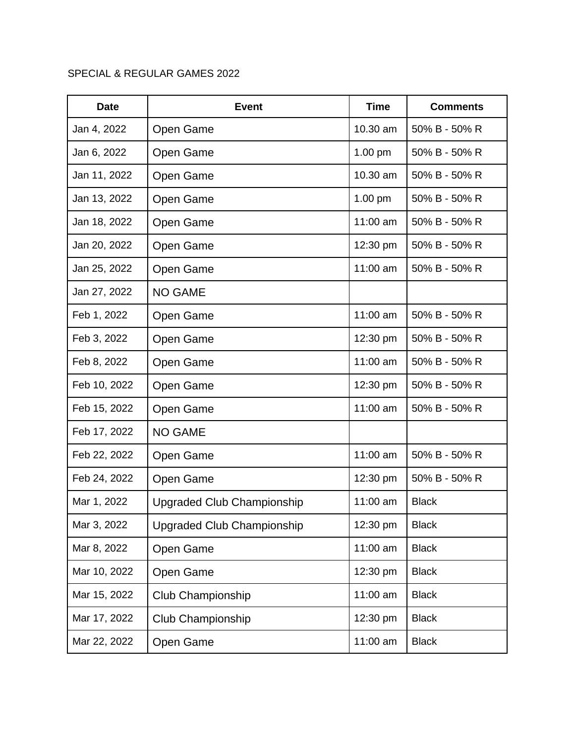## SPECIAL & REGULAR GAMES 2022

| <b>Date</b>  | <b>Event</b>                      | <b>Time</b> | <b>Comments</b> |
|--------------|-----------------------------------|-------------|-----------------|
| Jan 4, 2022  | Open Game                         | 10.30 am    | 50% B - 50% R   |
| Jan 6, 2022  | Open Game                         | $1.00$ pm   | 50% B - 50% R   |
| Jan 11, 2022 | Open Game                         | 10.30 am    | 50% B - 50% R   |
| Jan 13, 2022 | Open Game                         | $1.00$ pm   | 50% B - 50% R   |
| Jan 18, 2022 | Open Game                         | 11:00 am    | 50% B - 50% R   |
| Jan 20, 2022 | Open Game                         | 12:30 pm    | 50% B - 50% R   |
| Jan 25, 2022 | Open Game                         | 11:00 am    | 50% B - 50% R   |
| Jan 27, 2022 | <b>NO GAME</b>                    |             |                 |
| Feb 1, 2022  | Open Game                         | 11:00 am    | 50% B - 50% R   |
| Feb 3, 2022  | Open Game                         | 12:30 pm    | 50% B - 50% R   |
| Feb 8, 2022  | Open Game                         | 11:00 am    | 50% B - 50% R   |
| Feb 10, 2022 | Open Game                         | 12:30 pm    | 50% B - 50% R   |
| Feb 15, 2022 | Open Game                         | 11:00 am    | 50% B - 50% R   |
| Feb 17, 2022 | <b>NO GAME</b>                    |             |                 |
| Feb 22, 2022 | Open Game                         | 11:00 am    | 50% B - 50% R   |
| Feb 24, 2022 | Open Game                         | 12:30 pm    | 50% B - 50% R   |
| Mar 1, 2022  | Upgraded Club Championship        | 11:00 am    | <b>Black</b>    |
| Mar 3, 2022  | <b>Upgraded Club Championship</b> | 12:30 pm    | <b>Black</b>    |
| Mar 8, 2022  | Open Game                         | 11:00 am    | <b>Black</b>    |
| Mar 10, 2022 | Open Game                         | 12:30 pm    | <b>Black</b>    |
| Mar 15, 2022 | Club Championship                 | 11:00 am    | <b>Black</b>    |
| Mar 17, 2022 | Club Championship                 | 12:30 pm    | <b>Black</b>    |
| Mar 22, 2022 | Open Game                         | 11:00 am    | <b>Black</b>    |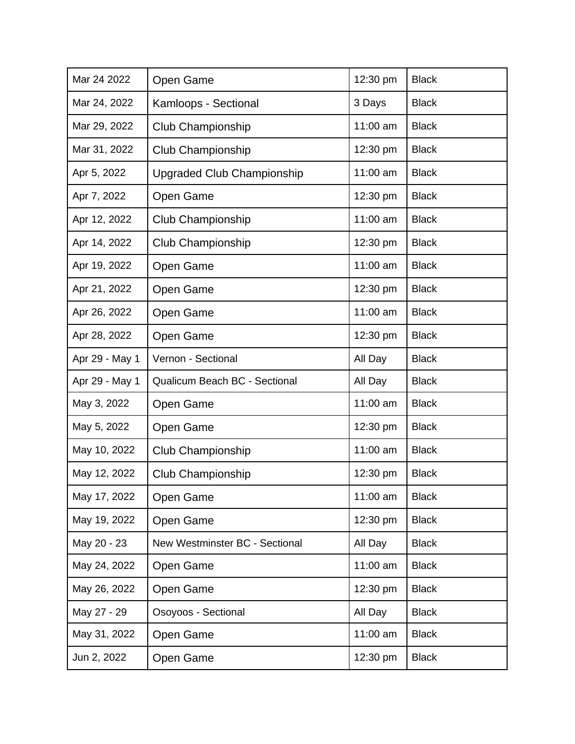| Mar 24 2022    | Open Game                      | 12:30 pm | <b>Black</b> |
|----------------|--------------------------------|----------|--------------|
| Mar 24, 2022   | Kamloops - Sectional           | 3 Days   | <b>Black</b> |
| Mar 29, 2022   | Club Championship              | 11:00 am | <b>Black</b> |
| Mar 31, 2022   | Club Championship              | 12:30 pm | <b>Black</b> |
| Apr 5, 2022    | Upgraded Club Championship     | 11:00 am | <b>Black</b> |
| Apr 7, 2022    | Open Game                      | 12:30 pm | <b>Black</b> |
| Apr 12, 2022   | Club Championship              | 11:00 am | <b>Black</b> |
| Apr 14, 2022   | Club Championship              | 12:30 pm | <b>Black</b> |
| Apr 19, 2022   | Open Game                      | 11:00 am | <b>Black</b> |
| Apr 21, 2022   | Open Game                      | 12:30 pm | <b>Black</b> |
| Apr 26, 2022   | Open Game                      | 11:00 am | <b>Black</b> |
| Apr 28, 2022   | Open Game                      | 12:30 pm | <b>Black</b> |
| Apr 29 - May 1 | Vernon - Sectional             | All Day  | <b>Black</b> |
| Apr 29 - May 1 | Qualicum Beach BC - Sectional  | All Day  | <b>Black</b> |
| May 3, 2022    | Open Game                      | 11:00 am | <b>Black</b> |
| May 5, 2022    | Open Game                      | 12:30 pm | <b>Black</b> |
| May 10, 2022   | Club Championship              | 11:00 am | <b>Black</b> |
| May 12, 2022   | <b>Club Championship</b>       | 12:30 pm | <b>Black</b> |
| May 17, 2022   | Open Game                      | 11:00 am | <b>Black</b> |
| May 19, 2022   | Open Game                      | 12:30 pm | <b>Black</b> |
| May 20 - 23    | New Westminster BC - Sectional | All Day  | <b>Black</b> |
| May 24, 2022   | Open Game                      | 11:00 am | <b>Black</b> |
| May 26, 2022   | Open Game                      | 12:30 pm | <b>Black</b> |
| May 27 - 29    | Osoyoos - Sectional            | All Day  | <b>Black</b> |
| May 31, 2022   | Open Game                      | 11:00 am | <b>Black</b> |
| Jun 2, 2022    | Open Game                      | 12:30 pm | <b>Black</b> |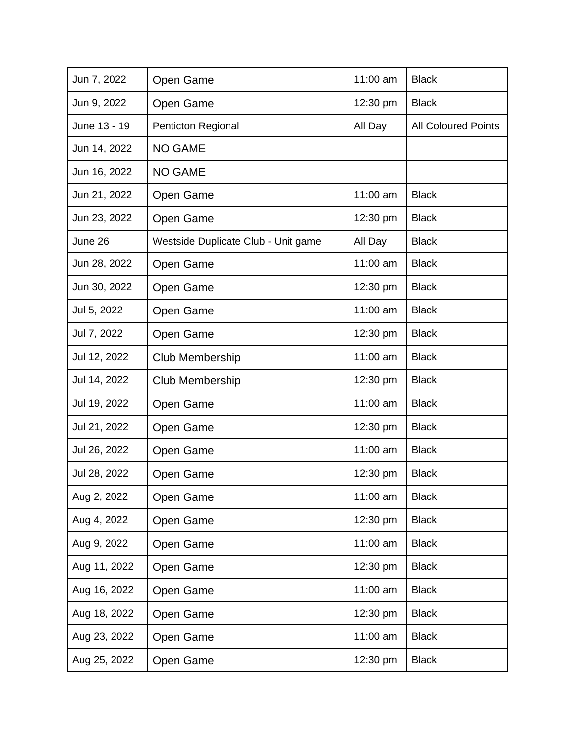| Jun 7, 2022  | Open Game                           | 11:00 am | <b>Black</b>               |
|--------------|-------------------------------------|----------|----------------------------|
| Jun 9, 2022  | Open Game                           | 12:30 pm | <b>Black</b>               |
| June 13 - 19 | Penticton Regional                  | All Day  | <b>All Coloured Points</b> |
| Jun 14, 2022 | <b>NO GAME</b>                      |          |                            |
| Jun 16, 2022 | <b>NO GAME</b>                      |          |                            |
| Jun 21, 2022 | Open Game                           | 11:00 am | <b>Black</b>               |
| Jun 23, 2022 | Open Game                           | 12:30 pm | <b>Black</b>               |
| June 26      | Westside Duplicate Club - Unit game | All Day  | <b>Black</b>               |
| Jun 28, 2022 | Open Game                           | 11:00 am | <b>Black</b>               |
| Jun 30, 2022 | Open Game                           | 12:30 pm | <b>Black</b>               |
| Jul 5, 2022  | Open Game                           | 11:00 am | <b>Black</b>               |
| Jul 7, 2022  | Open Game                           | 12:30 pm | <b>Black</b>               |
| Jul 12, 2022 | Club Membership                     | 11:00 am | <b>Black</b>               |
| Jul 14, 2022 | Club Membership                     | 12:30 pm | <b>Black</b>               |
| Jul 19, 2022 | Open Game                           | 11:00 am | <b>Black</b>               |
| Jul 21, 2022 | Open Game                           | 12:30 pm | <b>Black</b>               |
| Jul 26, 2022 | Open Game                           | 11:00 am | <b>Black</b>               |
| Jul 28, 2022 | Open Game                           | 12:30 pm | <b>Black</b>               |
| Aug 2, 2022  | Open Game                           | 11:00 am | <b>Black</b>               |
| Aug 4, 2022  | Open Game                           | 12:30 pm | <b>Black</b>               |
| Aug 9, 2022  | Open Game                           | 11:00 am | <b>Black</b>               |
| Aug 11, 2022 | Open Game                           | 12:30 pm | <b>Black</b>               |
| Aug 16, 2022 | Open Game                           | 11:00 am | <b>Black</b>               |
| Aug 18, 2022 | Open Game                           | 12:30 pm | <b>Black</b>               |
| Aug 23, 2022 | Open Game                           | 11:00 am | <b>Black</b>               |
| Aug 25, 2022 | Open Game                           | 12:30 pm | <b>Black</b>               |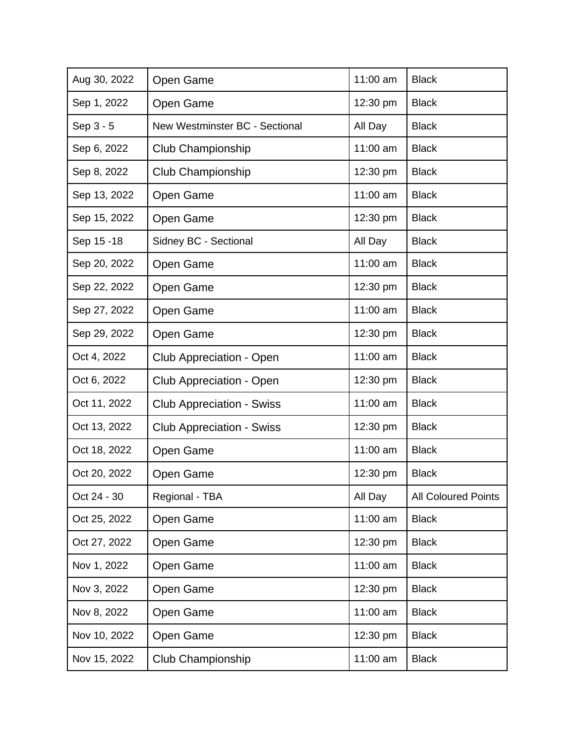| Aug 30, 2022 | Open Game                        | 11:00 am | <b>Black</b>               |
|--------------|----------------------------------|----------|----------------------------|
| Sep 1, 2022  | Open Game                        | 12:30 pm | <b>Black</b>               |
| Sep 3 - 5    | New Westminster BC - Sectional   | All Day  | <b>Black</b>               |
| Sep 6, 2022  | Club Championship                | 11:00 am | <b>Black</b>               |
| Sep 8, 2022  | Club Championship                | 12:30 pm | <b>Black</b>               |
| Sep 13, 2022 | Open Game                        | 11:00 am | <b>Black</b>               |
| Sep 15, 2022 | Open Game                        | 12:30 pm | <b>Black</b>               |
| Sep 15 - 18  | Sidney BC - Sectional            | All Day  | <b>Black</b>               |
| Sep 20, 2022 | Open Game                        | 11:00 am | <b>Black</b>               |
| Sep 22, 2022 | Open Game                        | 12:30 pm | <b>Black</b>               |
| Sep 27, 2022 | Open Game                        | 11:00 am | <b>Black</b>               |
| Sep 29, 2022 | Open Game                        | 12:30 pm | <b>Black</b>               |
| Oct 4, 2022  | Club Appreciation - Open         | 11:00 am | <b>Black</b>               |
| Oct 6, 2022  | Club Appreciation - Open         | 12:30 pm | <b>Black</b>               |
| Oct 11, 2022 | <b>Club Appreciation - Swiss</b> | 11:00 am | <b>Black</b>               |
| Oct 13, 2022 | <b>Club Appreciation - Swiss</b> | 12:30 pm | <b>Black</b>               |
| Oct 18, 2022 | Open Game                        | 11:00 am | <b>Black</b>               |
| Oct 20, 2022 | Open Game                        | 12:30 pm | <b>Black</b>               |
| Oct 24 - 30  | Regional - TBA                   | All Day  | <b>All Coloured Points</b> |
| Oct 25, 2022 | Open Game                        | 11:00 am | <b>Black</b>               |
| Oct 27, 2022 | Open Game                        | 12:30 pm | <b>Black</b>               |
| Nov 1, 2022  | Open Game                        | 11:00 am | <b>Black</b>               |
| Nov 3, 2022  | Open Game                        | 12:30 pm | <b>Black</b>               |
| Nov 8, 2022  | Open Game                        | 11:00 am | <b>Black</b>               |
| Nov 10, 2022 | Open Game                        | 12:30 pm | <b>Black</b>               |
| Nov 15, 2022 | Club Championship                | 11:00 am | <b>Black</b>               |